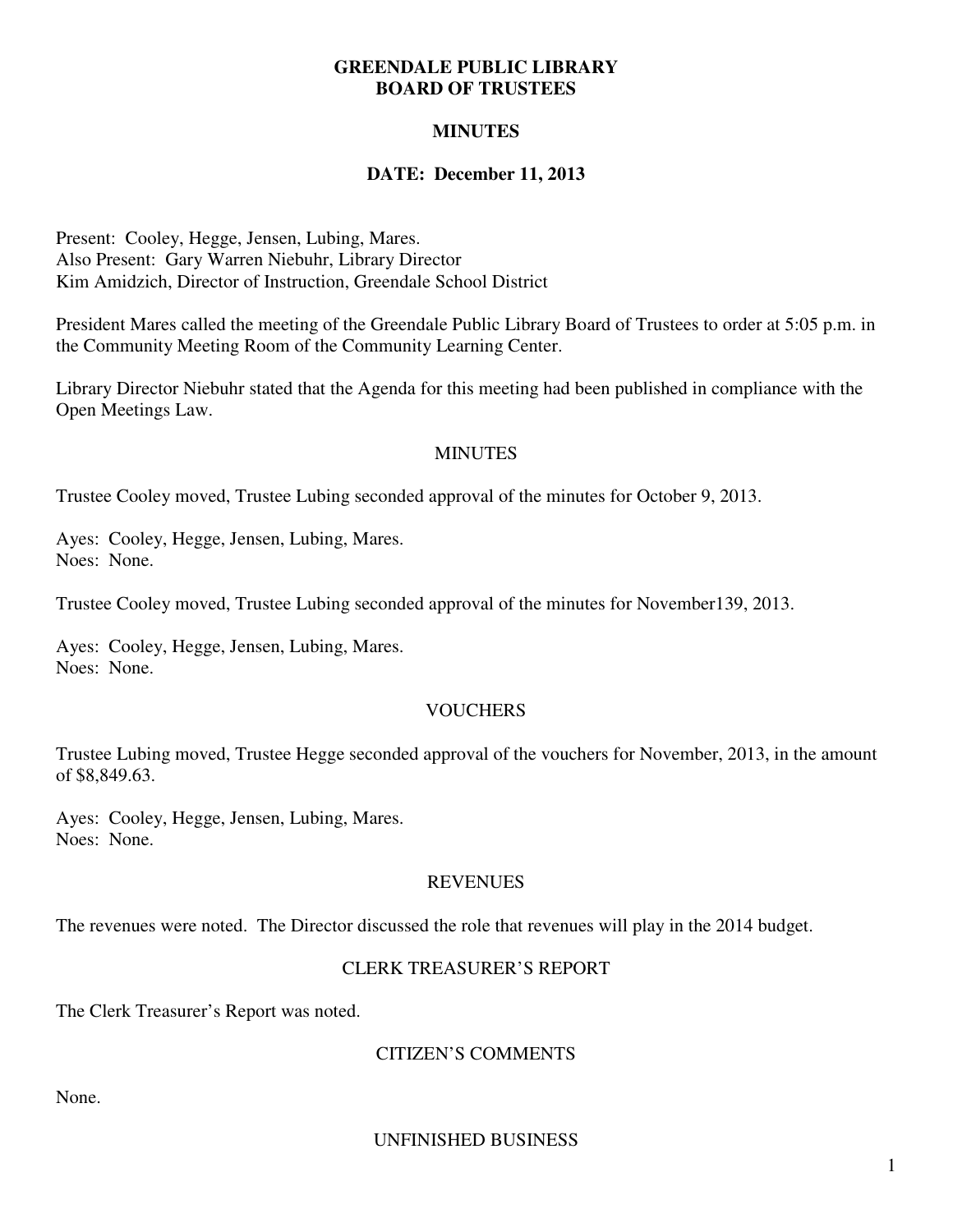### **GREENDALE PUBLIC LIBRARY BOARD OF TRUSTEES**

# **MINUTES**

# **DATE: December 11, 2013**

Present: Cooley, Hegge, Jensen, Lubing, Mares. Also Present: Gary Warren Niebuhr, Library Director Kim Amidzich, Director of Instruction, Greendale School District

President Mares called the meeting of the Greendale Public Library Board of Trustees to order at 5:05 p.m. in the Community Meeting Room of the Community Learning Center.

Library Director Niebuhr stated that the Agenda for this meeting had been published in compliance with the Open Meetings Law.

#### **MINUTES**

Trustee Cooley moved, Trustee Lubing seconded approval of the minutes for October 9, 2013.

Ayes: Cooley, Hegge, Jensen, Lubing, Mares. Noes: None.

Trustee Cooley moved, Trustee Lubing seconded approval of the minutes for November139, 2013.

Ayes: Cooley, Hegge, Jensen, Lubing, Mares. Noes: None.

#### **VOUCHERS**

Trustee Lubing moved, Trustee Hegge seconded approval of the vouchers for November, 2013, in the amount of \$8,849.63.

Ayes: Cooley, Hegge, Jensen, Lubing, Mares. Noes: None.

# **REVENUES**

The revenues were noted. The Director discussed the role that revenues will play in the 2014 budget.

#### CLERK TREASURER'S REPORT

The Clerk Treasurer's Report was noted.

# CITIZEN'S COMMENTS

None.

UNFINISHED BUSINESS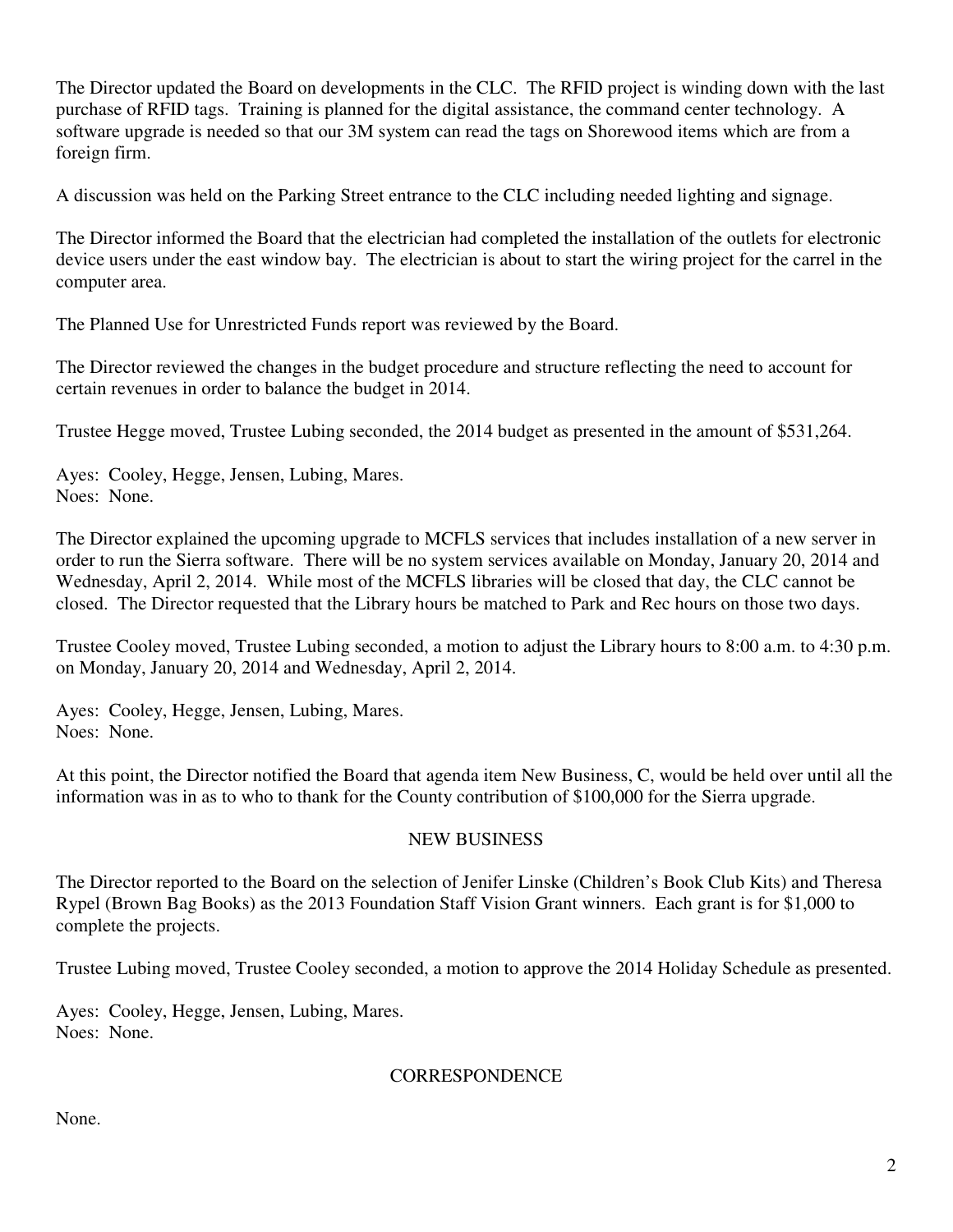The Director updated the Board on developments in the CLC. The RFID project is winding down with the last purchase of RFID tags. Training is planned for the digital assistance, the command center technology. A software upgrade is needed so that our 3M system can read the tags on Shorewood items which are from a foreign firm.

A discussion was held on the Parking Street entrance to the CLC including needed lighting and signage.

The Director informed the Board that the electrician had completed the installation of the outlets for electronic device users under the east window bay. The electrician is about to start the wiring project for the carrel in the computer area.

The Planned Use for Unrestricted Funds report was reviewed by the Board.

The Director reviewed the changes in the budget procedure and structure reflecting the need to account for certain revenues in order to balance the budget in 2014.

Trustee Hegge moved, Trustee Lubing seconded, the 2014 budget as presented in the amount of \$531,264.

Ayes: Cooley, Hegge, Jensen, Lubing, Mares. Noes: None.

The Director explained the upcoming upgrade to MCFLS services that includes installation of a new server in order to run the Sierra software. There will be no system services available on Monday, January 20, 2014 and Wednesday, April 2, 2014. While most of the MCFLS libraries will be closed that day, the CLC cannot be closed. The Director requested that the Library hours be matched to Park and Rec hours on those two days.

Trustee Cooley moved, Trustee Lubing seconded, a motion to adjust the Library hours to 8:00 a.m. to 4:30 p.m. on Monday, January 20, 2014 and Wednesday, April 2, 2014.

Ayes: Cooley, Hegge, Jensen, Lubing, Mares. Noes: None.

At this point, the Director notified the Board that agenda item New Business, C, would be held over until all the information was in as to who to thank for the County contribution of \$100,000 for the Sierra upgrade.

#### NEW BUSINESS

The Director reported to the Board on the selection of Jenifer Linske (Children's Book Club Kits) and Theresa Rypel (Brown Bag Books) as the 2013 Foundation Staff Vision Grant winners. Each grant is for \$1,000 to complete the projects.

Trustee Lubing moved, Trustee Cooley seconded, a motion to approve the 2014 Holiday Schedule as presented.

Ayes: Cooley, Hegge, Jensen, Lubing, Mares. Noes: None.

#### **CORRESPONDENCE**

None.